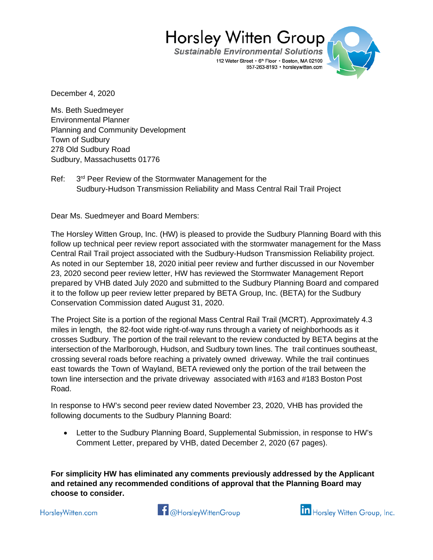**Sustainable Environmental Solutions** 112 Water Street • 6th Floor • Boston, MA 02109 857-263-8193 · horsleywitten.com



December 4, 2020

Ms. Beth Suedmeyer Environmental Planner Planning and Community Development Town of Sudbury 278 Old Sudbury Road Sudbury, Massachusetts 01776

Ref: 3<sup>rd</sup> Peer Review of the Stormwater Management for the Sudbury-Hudson Transmission Reliability and Mass Central Rail Trail Project

Dear Ms. Suedmeyer and Board Members:

The Horsley Witten Group, Inc. (HW) is pleased to provide the Sudbury Planning Board with this follow up technical peer review report associated with the stormwater management for the Mass Central Rail Trail project associated with the Sudbury-Hudson Transmission Reliability project. As noted in our September 18, 2020 initial peer review and further discussed in our November 23, 2020 second peer review letter, HW has reviewed the Stormwater Management Report prepared by VHB dated July 2020 and submitted to the Sudbury Planning Board and compared it to the follow up peer review letter prepared by BETA Group, Inc. (BETA) for the Sudbury Conservation Commission dated August 31, 2020.

The Project Site is a portion of the regional Mass Central Rail Trail (MCRT). Approximately 4.3 miles in length, the 82-foot wide right-of-way runs through a variety of neighborhoods as it crosses Sudbury. The portion of the trail relevant to the review conducted by BETA begins at the intersection of the Marlborough, Hudson, and Sudbury town lines. The trail continues southeast, crossing several roads before reaching a privately owned driveway. While the trail continues east towards the Town of Wayland, BETA reviewed only the portion of the trail between the town line intersection and the private driveway associated with #163 and #183 Boston Post Road.

In response to HW's second peer review dated November 23, 2020, VHB has provided the following documents to the Sudbury Planning Board:

• Letter to the Sudbury Planning Board, Supplemental Submission, in response to HW's Comment Letter, prepared by VHB, dated December 2, 2020 (67 pages).

**For simplicity HW has eliminated any comments previously addressed by the Applicant and retained any recommended conditions of approval that the Planning Board may choose to consider.**

HorsleyWitten.com



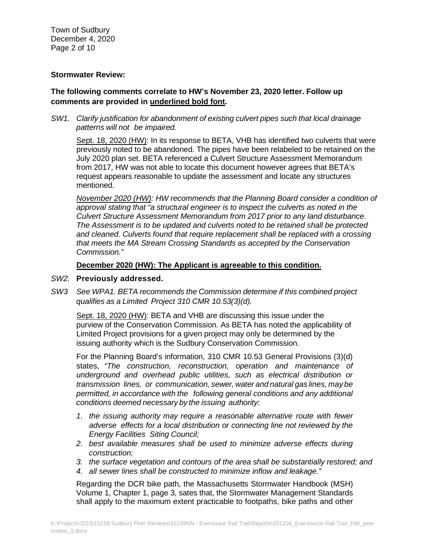Town of Sudbury December 4, 2020 Page 2 of 10

### **Stormwater Review:**

## **The following comments correlate to HW's November 23, 2020 letter. Follow up comments are provided in underlined bold font.**

*SW1. Clarify justification for abandonment of existing culvert pipes such that local drainage patterns will not be impaired.*

Sept. 18, 2020 (HW): In its response to BETA, VHB has identified two culverts that were previously noted to be abandoned. The pipes have been relabeled to be retained on the July 2020 plan set. BETA referenced a Culvert Structure Assessment Memorandum from 2017, HW was not able to locate this document however agrees that BETA's request appears reasonable to update the assessment and locate any structures mentioned.

*November 2020 (HW): HW recommends that the Planning Board consider a condition of approval stating that "a structural engineer is to inspect the culverts as noted in the Culvert Structure Assessment Memorandum from 2017 prior to any land disturbance. The Assessment is to be updated and culverts noted to be retained shall be protected and cleaned. Culverts found that require replacement shall be replaced with a crossing that meets the MA Stream Crossing Standards as accepted by the Conservation Commission."*

#### **December 2020 (HW): The Applicant is agreeable to this condition.**

#### *SW2.* **Previously addressed.**

*SW3 See WPA1. BETA recommends the Commission determine if this combined project qualifies as a Limited Project 310 CMR 10.53(3)(d).*

Sept. 18, 2020 (HW): BETA and VHB are discussing this issue under the purview of the Conservation Commission. As BETA has noted the applicability of Limited Project provisions for a given project may only be determined by the issuing authority which is the Sudbury Conservation Commission.

For the Planning Board's information, 310 CMR 10.53 General Provisions (3)(d) states, *"The construction, reconstruction, operation and maintenance of underground and overhead public utilities, such as electrical distribution or transmission lines, or communication, sewer, water and natural gas lines, may be permitted, in accordance with the following general conditions and any additional conditions deemed necessary by the issuing authority:*

- *1. the issuing authority may require a reasonable alternative route with fewer adverse effects for a local distribution or connecting line not reviewed by the Energy Facilities Siting Council;*
- *2. best available measures shall be used to minimize adverse effects during construction;*
- *3. the surface vegetation and contours of the area shall be substantially restored; and*
- *4. all sewer lines shall be constructed to minimize inflow and leakage."*

Regarding the DCR bike path, the Massachusetts Stormwater Handbook (MSH) Volume 1, Chapter 1, page 3, sates that, the Stormwater Management Standards shall apply to the maximum extent practicable to footpaths, bike paths and other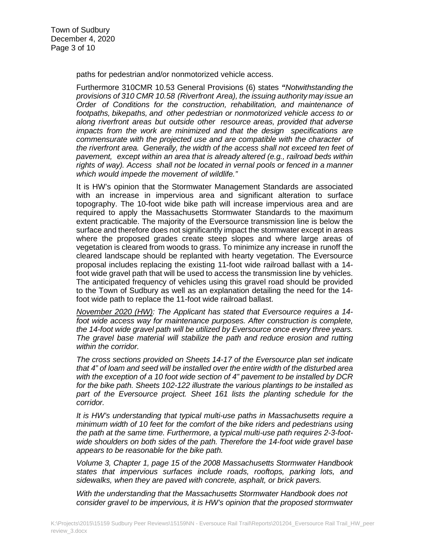paths for pedestrian and/or nonmotorized vehicle access.

Furthermore 310CMR 10.53 General Provisions (6) states *"Notwithstanding the provisions of 310 CMR 10.58 (Riverfront Area), the issuing authority may issue an Order of Conditions for the construction, rehabilitation, and maintenance of footpaths, bikepaths, and other pedestrian or nonmotorized vehicle access to or along riverfront areas but outside other resource areas, provided that adverse impacts from the work are minimized and that the design specifications are commensurate with the projected use and are compatible with the character of the riverfront area. Generally, the width of the access shall not exceed ten feet of pavement, except within an area that is already altered (e.g., railroad beds within rights of way). Access shall not be located in vernal pools or fenced in a manner which would impede the movement of wildlife."*

It is HW's opinion that the Stormwater Management Standards are associated with an increase in impervious area and significant alteration to surface topography. The 10-foot wide bike path will increase impervious area and are required to apply the Massachusetts Stormwater Standards to the maximum extent practicable. The majority of the Eversource transmission line is below the surface and therefore does not significantly impact the stormwater except in areas where the proposed grades create steep slopes and where large areas of vegetation is cleared from woods to grass. To minimize any increase in runoff the cleared landscape should be replanted with hearty vegetation. The Eversource proposal includes replacing the existing 11-foot wide railroad ballast with a 14 foot wide gravel path that will be used to access the transmission line by vehicles. The anticipated frequency of vehicles using this gravel road should be provided to the Town of Sudbury as well as an explanation detailing the need for the 14 foot wide path to replace the 11-foot wide railroad ballast.

*November 2020 (HW): The Applicant has stated that Eversource requires a 14* foot wide access way for maintenance purposes. After construction is complete, *the 14-foot wide gravel path will be utilized by Eversource once every three years. The gravel base material will stabilize the path and reduce erosion and rutting within the corridor.*

*The cross sections provided on Sheets 14-17 of the Eversource plan set indicate that 4" of loam and seed will be installed over the entire width of the disturbed area with the exception of a 10 foot wide section of 4" pavement to be installed by DCR for the bike path. Sheets 102-122 illustrate the various plantings to be installed as part of the Eversource project. Sheet 161 lists the planting schedule for the corridor.*

*It is HW's understanding that typical multi-use paths in Massachusetts require a minimum width of 10 feet for the comfort of the bike riders and pedestrians using the path at the same time. Furthermore, a typical multi-use path requires 2-3-footwide shoulders on both sides of the path. Therefore the 14-foot wide gravel base appears to be reasonable for the bike path.*

*Volume 3, Chapter 1, page 15 of the 2008 Massachusetts Stormwater Handbook states that impervious surfaces include roads, rooftops, parking lots, and sidewalks, when they are paved with concrete, asphalt, or brick pavers.*

*With the understanding that the Massachusetts Stormwater Handbook does not consider gravel to be impervious, it is HW's opinion that the proposed stormwater*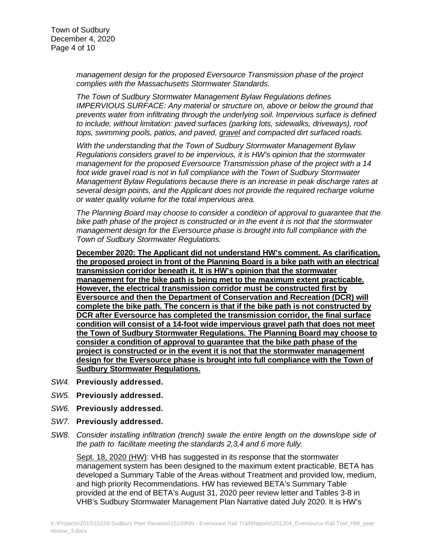*management design for the proposed Eversource Transmission phase of the project complies with the Massachusetts Stormwater Standards.*

*The Town of Sudbury Stormwater Management Bylaw Regulations defines IMPERVIOUS SURFACE: Any material or structure on, above or below the ground that prevents water from infiltrating through the underlying soil. Impervious surface is defined to include, without limitation: paved surfaces (parking lots, sidewalks, driveways), roof tops, swimming pools, patios, and paved, gravel and compacted dirt surfaced roads.*

*With the understanding that the Town of Sudbury Stormwater Management Bylaw Regulations considers gravel to be impervious, it is HW's opinion that the stormwater management for the proposed Eversource Transmission phase of the project with a 14 foot wide gravel road is not in full compliance with the Town of Sudbury Stormwater Management Bylaw Regulations because there is an increase in peak discharge rates at several design points, and the Applicant does not provide the required recharge volume or water quality volume for the total impervious area.*

*The Planning Board may choose to consider a condition of approval to guarantee that the bike path phase of the project is constructed or in the event it is not that the stormwater management design for the Eversource phase is brought into full compliance with the Town of Sudbury Stormwater Regulations.*

**December 2020: The Applicant did not understand HW's comment. As clarification, the proposed project in front of the Planning Board is a bike path with an electrical transmission corridor beneath it. It is HW's opinion that the stormwater management for the bike path is being met to the maximum extent practicable. However, the electrical transmission corridor must be constructed first by Eversource and then the Department of Conservation and Recreation (DCR) will complete the bike path. The concern is that if the bike path is not constructed by DCR after Eversource has completed the transmission corridor, the final surface condition will consist of a 14-foot wide impervious gravel path that does not meet the Town of Sudbury Stormwater Regulations. The Planning Board may choose to consider a condition of approval to guarantee that the bike path phase of the project is constructed or in the event it is not that the stormwater management design for the Eversource phase is brought into full compliance with the Town of Sudbury Stormwater Regulations.** 

- *SW4.* **Previously addressed.**
- *SW5.* **Previously addressed.**
- *SW6.* **Previously addressed.**
- *SW7.* **Previously addressed.**
- *SW8. Consider installing infiltration (trench) swale the entire length on the downslope side of the path to facilitate meeting the standards 2,3,4 and 6 more fully.*

Sept. 18, 2020 (HW): VHB has suggested in its response that the stormwater management system has been designed to the maximum extent practicable. BETA has developed a Summary Table of the Areas without Treatment and provided low, medium, and high priority Recommendations. HW has reviewed BETA's Summary Table provided at the end of BETA's August 31, 2020 peer review letter and Tables 3-8 in VHB's Sudbury Stormwater Management Plan Narrative dated July 2020. It is HW's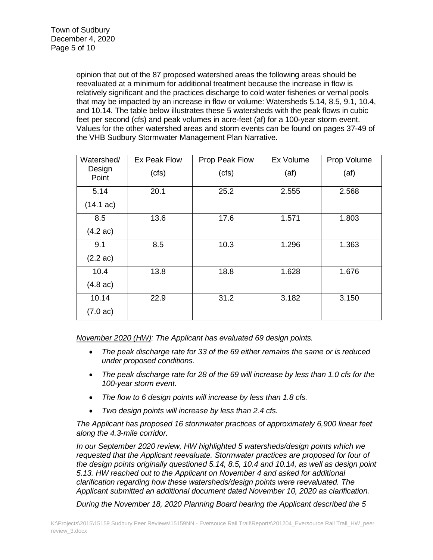opinion that out of the 87 proposed watershed areas the following areas should be reevaluated at a minimum for additional treatment because the increase in flow is relatively significant and the practices discharge to cold water fisheries or vernal pools that may be impacted by an increase in flow or volume: Watersheds 5.14, 8.5, 9.1, 10.4, and 10.14. The table below illustrates these 5 watersheds with the peak flows in cubic feet per second (cfs) and peak volumes in acre-feet (af) for a 100-year storm event. Values for the other watershed areas and storm events can be found on pages 37-49 of the VHB Sudbury Stormwater Management Plan Narrative.

| Watershed/          | Ex Peak Flow | Prop Peak Flow | Ex Volume | Prop Volume |
|---------------------|--------------|----------------|-----------|-------------|
| Design<br>Point     | (cfs)        | (cfs)          | (at)      | (at)        |
| 5.14                | 20.1         | 25.2           | 2.555     | 2.568       |
| $(14.1 \text{ ac})$ |              |                |           |             |
| 8.5                 | 13.6         | 17.6           | 1.571     | 1.803       |
| $(4.2 \text{ ac})$  |              |                |           |             |
| 9.1                 | 8.5          | 10.3           | 1.296     | 1.363       |
| $(2.2 \text{ ac})$  |              |                |           |             |
| 10.4                | 13.8         | 18.8           | 1.628     | 1.676       |
| $(4.8 \text{ ac})$  |              |                |           |             |
| 10.14               | 22.9         | 31.2           | 3.182     | 3.150       |
| $(7.0 \text{ ac})$  |              |                |           |             |

*November 2020 (HW): The Applicant has evaluated 69 design points.*

- *The peak discharge rate for 33 of the 69 either remains the same or is reduced under proposed conditions.*
- *The peak discharge rate for 28 of the 69 will increase by less than 1.0 cfs for the 100-year storm event.*
- *The flow to 6 design points will increase by less than 1.8 cfs.*
- *Two design points will increase by less than 2.4 cfs.*

*The Applicant has proposed 16 stormwater practices of approximately 6,900 linear feet along the 4.3-mile corridor.* 

*In our September 2020 review, HW highlighted 5 watersheds/design points which we requested that the Applicant reevaluate. Stormwater practices are proposed for four of the design points originally questioned 5.14, 8.5, 10.4 and 10.14, as well as design point 5.13. HW reached out to the Applicant on November 4 and asked for additional clarification regarding how these watersheds/design points were reevaluated. The Applicant submitted an additional document dated November 10, 2020 as clarification.*

*During the November 18, 2020 Planning Board hearing the Applicant described the 5*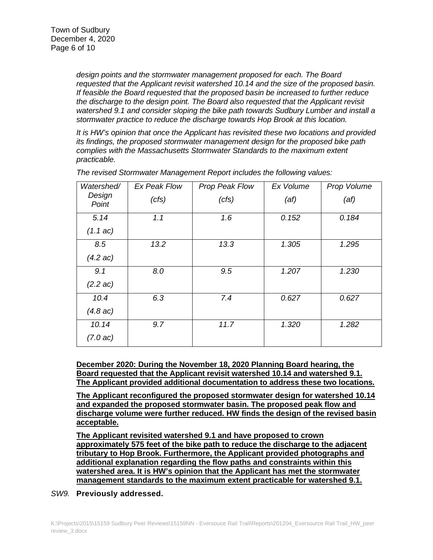*design points and the stormwater management proposed for each. The Board requested that the Applicant revisit watershed 10.14 and the size of the proposed basin. If feasible the Board requested that the proposed basin be increased to further reduce the discharge to the design point. The Board also requested that the Applicant revisit watershed 9.1 and consider sloping the bike path towards Sudbury Lumber and install a stormwater practice to reduce the discharge towards Hop Brook at this location.*

*It is HW's opinion that once the Applicant has revisited these two locations and provided its findings, the proposed stormwater management design for the proposed bike path complies with the Massachusetts Stormwater Standards to the maximum extent practicable.*

| Watershed/         | Ex Peak Flow | Prop Peak Flow | Ex Volume | Prop Volume |
|--------------------|--------------|----------------|-----------|-------------|
| Design<br>Point    | (cts)        | (cts)          | (at)      | (at)        |
| 5.14               | 1.1          | 1.6            | 0.152     | 0.184       |
| $(1.1 \text{ ac})$ |              |                |           |             |
| 8.5                | 13.2         | 13.3           | 1.305     | 1.295       |
| $(4.2 \text{ ac})$ |              |                |           |             |
| 9.1                | 8.0          | 9.5            | 1.207     | 1.230       |
| $(2.2 \text{ ac})$ |              |                |           |             |
| 10.4               | 6.3          | 7.4            | 0.627     | 0.627       |
| (4.8 ac)           |              |                |           |             |
| 10.14              | 9.7          | 11.7           | 1.320     | 1.282       |
| $(7.0 \text{ ac})$ |              |                |           |             |

*The revised Stormwater Management Report includes the following values:*

**December 2020: During the November 18, 2020 Planning Board hearing, the Board requested that the Applicant revisit watershed 10.14 and watershed 9.1. The Applicant provided additional documentation to address these two locations.**

**The Applicant reconfigured the proposed stormwater design for watershed 10.14 and expanded the proposed stormwater basin. The proposed peak flow and discharge volume were further reduced. HW finds the design of the revised basin acceptable.**

**The Applicant revisited watershed 9.1 and have proposed to crown approximately 575 feet of the bike path to reduce the discharge to the adjacent tributary to Hop Brook. Furthermore, the Applicant provided photographs and additional explanation regarding the flow paths and constraints within this watershed area. It is HW's opinion that the Applicant has met the stormwater management standards to the maximum extent practicable for watershed 9.1.**

*SW9.* **Previously addressed.**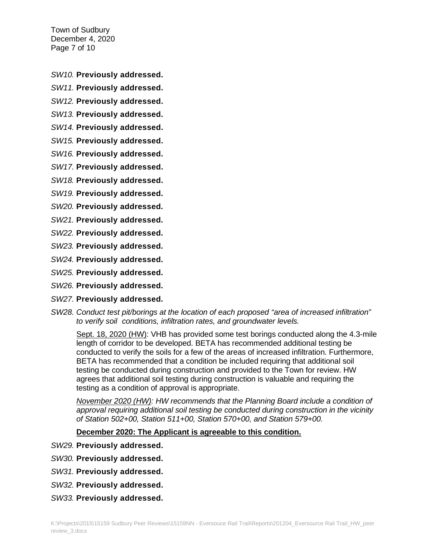Town of Sudbury December 4, 2020 Page 7 of 10

*SW10.* **Previously addressed.**

*SW11.* **Previously addressed.**

*SW12.* **Previously addressed.**

*SW13.* **Previously addressed.**

*SW14.* **Previously addressed.**

*SW15.* **Previously addressed.**

*SW16.* **Previously addressed.**

*SW17.* **Previously addressed.**

*SW18.* **Previously addressed.**

*SW19.* **Previously addressed.**

*SW20.* **Previously addressed.**

*SW21.* **Previously addressed.**

*SW22.* **Previously addressed.**

*SW23.* **Previously addressed.**

*SW24.* **Previously addressed.**

*SW25.* **Previously addressed.**

*SW26.* **Previously addressed.**

*SW27.* **Previously addressed.**

*SW28. Conduct test pit/borings at the location of each proposed "area of increased infiltration" to verify soil conditions, infiltration rates, and groundwater levels.*

Sept. 18, 2020 (HW): VHB has provided some test borings conducted along the 4.3-mile length of corridor to be developed. BETA has recommended additional testing be conducted to verify the soils for a few of the areas of increased infiltration. Furthermore, BETA has recommended that a condition be included requiring that additional soil testing be conducted during construction and provided to the Town for review. HW agrees that additional soil testing during construction is valuable and requiring the testing as a condition of approval is appropriate.

*November 2020 (HW): HW recommends that the Planning Board include a condition of approval requiring additional soil testing be conducted during construction in the vicinity of Station 502+00, Station 511+00, Station 570+00, and Station 579+00.*

**December 2020: The Applicant is agreeable to this condition.**

- *SW29.* **Previously addressed.**
- *SW30.* **Previously addressed.**
- *SW31.* **Previously addressed.**
- *SW32.* **Previously addressed.**
- *SW33.* **Previously addressed.**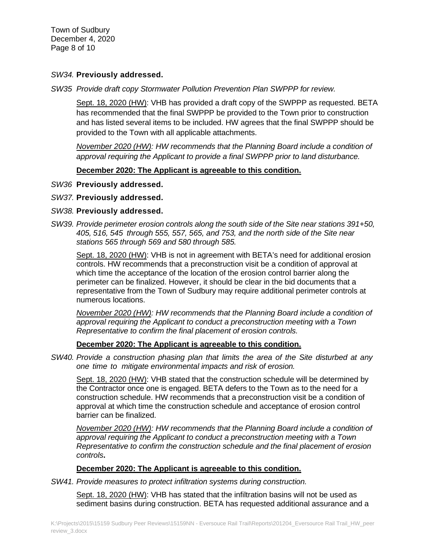Town of Sudbury December 4, 2020 Page 8 of 10

## *SW34.* **Previously addressed.**

*SW35 Provide draft copy Stormwater Pollution Prevention Plan SWPPP for review.*

Sept. 18, 2020 (HW): VHB has provided a draft copy of the SWPPP as requested. BETA has recommended that the final SWPPP be provided to the Town prior to construction and has listed several items to be included. HW agrees that the final SWPPP should be provided to the Town with all applicable attachments.

*November 2020 (HW): HW recommends that the Planning Board include a condition of approval requiring the Applicant to provide a final SWPPP prior to land disturbance.*

## **December 2020: The Applicant is agreeable to this condition.**

*SW36* **Previously addressed.**

## *SW37.* **Previously addressed.**

### *SW38.* **Previously addressed.**

*SW39. Provide perimeter erosion controls along the south side of the Site near stations 391+50, 405, 516, 545 through 555, 557, 565, and 753, and the north side of the Site near stations 565 through 569 and 580 through 585.*

Sept. 18, 2020 (HW): VHB is not in agreement with BETA's need for additional erosion controls. HW recommends that a preconstruction visit be a condition of approval at which time the acceptance of the location of the erosion control barrier along the perimeter can be finalized. However, it should be clear in the bid documents that a representative from the Town of Sudbury may require additional perimeter controls at numerous locations.

*November 2020 (HW): HW recommends that the Planning Board include a condition of approval requiring the Applicant to conduct a preconstruction meeting with a Town Representative to confirm the final placement of erosion controls.*

### **December 2020: The Applicant is agreeable to this condition.**

*SW40. Provide a construction phasing plan that limits the area of the Site disturbed at any one time to mitigate environmental impacts and risk of erosion.*

Sept. 18, 2020 (HW): VHB stated that the construction schedule will be determined by the Contractor once one is engaged. BETA defers to the Town as to the need for a construction schedule. HW recommends that a preconstruction visit be a condition of approval at which time the construction schedule and acceptance of erosion control barrier can be finalized.

*November 2020 (HW): HW recommends that the Planning Board include a condition of approval requiring the Applicant to conduct a preconstruction meeting with a Town Representative to confirm the construction schedule and the final placement of erosion controls***.**

# **December 2020: The Applicant is agreeable to this condition.**

*SW41. Provide measures to protect infiltration systems during construction.*

Sept. 18, 2020 (HW): VHB has stated that the infiltration basins will not be used as sediment basins during construction. BETA has requested additional assurance and a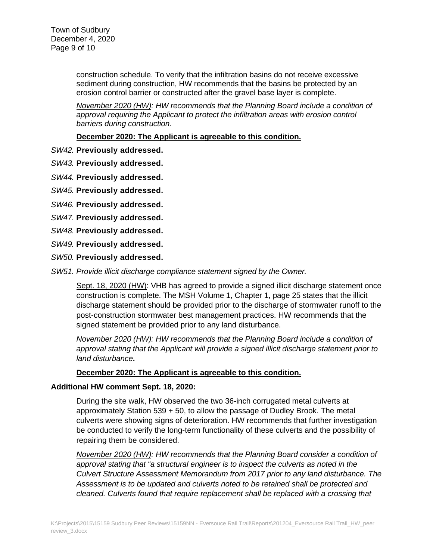construction schedule. To verify that the infiltration basins do not receive excessive sediment during construction, HW recommends that the basins be protected by an erosion control barrier or constructed after the gravel base layer is complete.

*November 2020 (HW): HW recommends that the Planning Board include a condition of approval requiring the Applicant to protect the infiltration areas with erosion control barriers during construction.*

**December 2020: The Applicant is agreeable to this condition.**

*SW42.* **Previously addressed.**

*SW43.* **Previously addressed.**

*SW44.* **Previously addressed.**

*SW45.* **Previously addressed.**

*SW46.* **Previously addressed.**

- *SW47.* **Previously addressed.**
- *SW48.* **Previously addressed.**
- *SW49.* **Previously addressed.**
- *SW50.* **Previously addressed.**

*SW51. Provide illicit discharge compliance statement signed by the Owner.*

Sept. 18, 2020 (HW): VHB has agreed to provide a signed illicit discharge statement once construction is complete. The MSH Volume 1, Chapter 1, page 25 states that the illicit discharge statement should be provided prior to the discharge of stormwater runoff to the post-construction stormwater best management practices. HW recommends that the signed statement be provided prior to any land disturbance.

*November 2020 (HW): HW recommends that the Planning Board include a condition of approval stating that the Applicant will provide a signed illicit discharge statement prior to land disturbance***.**

### **December 2020: The Applicant is agreeable to this condition.**

### **Additional HW comment Sept. 18, 2020:**

During the site walk, HW observed the two 36-inch corrugated metal culverts at approximately Station 539 + 50, to allow the passage of Dudley Brook. The metal culverts were showing signs of deterioration. HW recommends that further investigation be conducted to verify the long-term functionality of these culverts and the possibility of repairing them be considered.

*November 2020 (HW): HW recommends that the Planning Board consider a condition of approval stating that "a structural engineer is to inspect the culverts as noted in the Culvert Structure Assessment Memorandum from 2017 prior to any land disturbance. The Assessment is to be updated and culverts noted to be retained shall be protected and cleaned. Culverts found that require replacement shall be replaced with a crossing that*